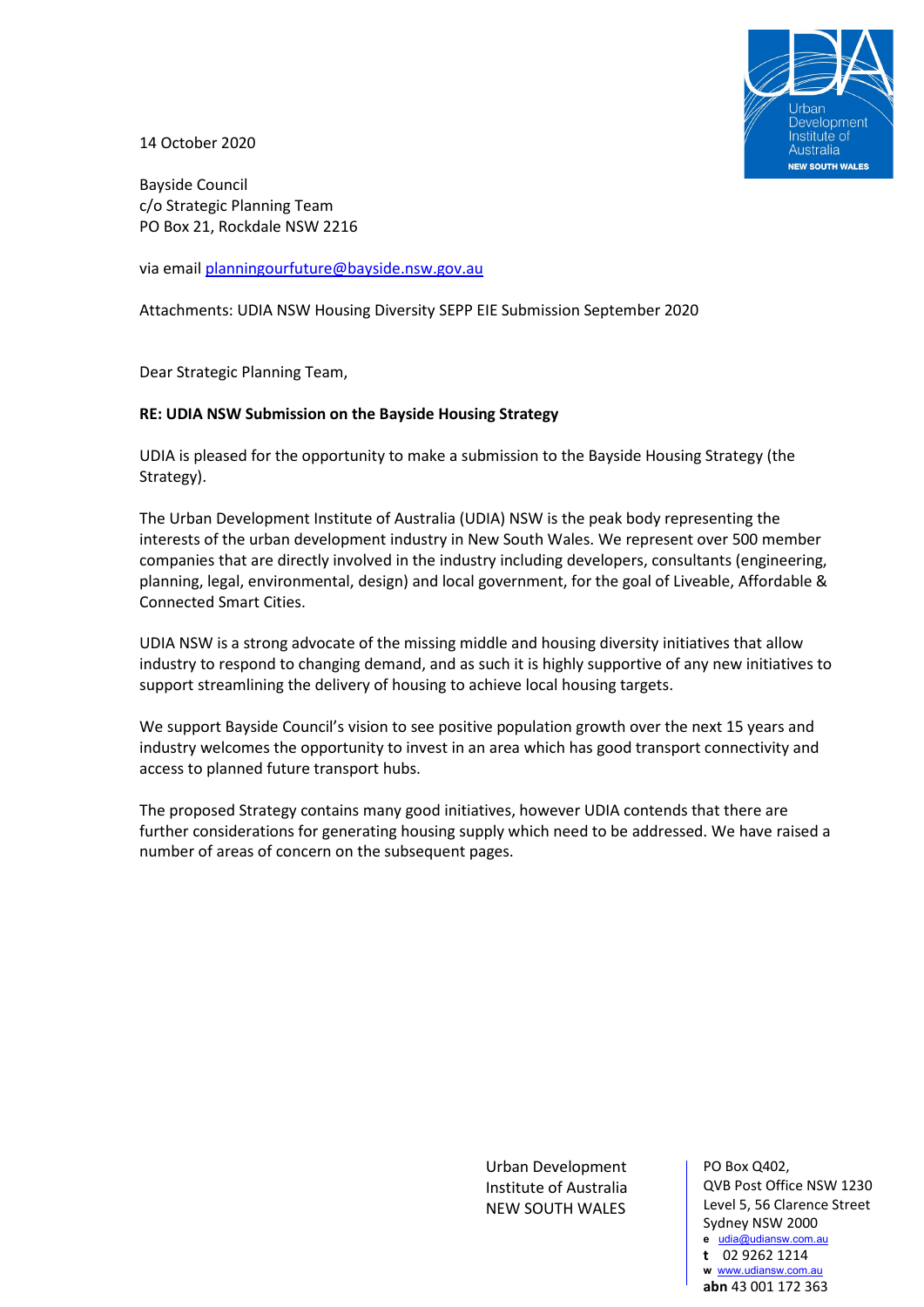

14 October 2020

Bayside Council c/o Strategic Planning Team PO Box 21, Rockdale NSW 2216

via email [planningourfuture@bayside.nsw.gov.au](mailto:planningourfuture@bayside.nsw.gov.au)

Attachments: UDIA NSW Housing Diversity SEPP EIE Submission September 2020

Dear Strategic Planning Team,

### **RE: UDIA NSW Submission on the Bayside Housing Strategy**

UDIA is pleased for the opportunity to make a submission to the Bayside Housing Strategy (the Strategy).

The Urban Development Institute of Australia (UDIA) NSW is the peak body representing the interests of the urban development industry in New South Wales. We represent over 500 member companies that are directly involved in the industry including developers, consultants (engineering, planning, legal, environmental, design) and local government, for the goal of Liveable, Affordable & Connected Smart Cities.

UDIA NSW is a strong advocate of the missing middle and housing diversity initiatives that allow industry to respond to changing demand, and as such it is highly supportive of any new initiatives to support streamlining the delivery of housing to achieve local housing targets.

We support Bayside Council's vision to see positive population growth over the next 15 years and industry welcomes the opportunity to invest in an area which has good transport connectivity and access to planned future transport hubs.

The proposed Strategy contains many good initiatives, however UDIA contends that there are further considerations for generating housing supply which need to be addressed. We have raised a number of areas of concern on the subsequent pages.

> Urban Development Institute of Australia NEW SOUTH WALES

PO Box Q402, QVB Post Office NSW 1230 Level 5, 56 Clarence Street Sydney NSW 2000 **e** [udia@udiansw.com.au](mailto:udia@udiansw.com.au) **t** 02 9262 1214 **w** [www.udiansw.com.au](http://www.udiansw.com.au/)

**abn** 43 001 172 363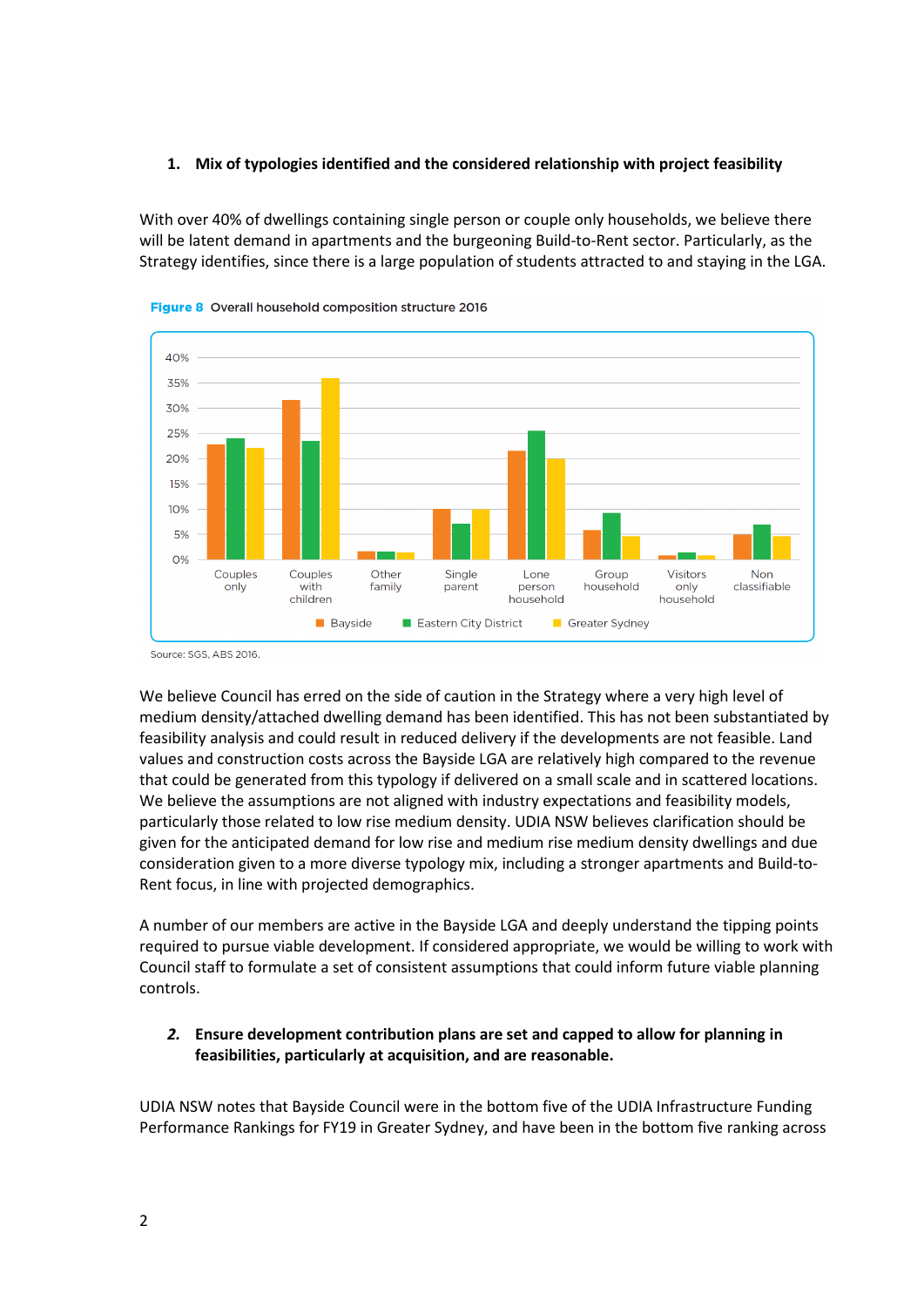### **1. Mix of typologies identified and the considered relationship with project feasibility**

With over 40% of dwellings containing single person or couple only households, we believe there will be latent demand in apartments and the burgeoning Build-to-Rent sector. Particularly, as the Strategy identifies, since there is a large population of students attracted to and staying in the LGA.



Figure 8 Overall household composition structure 2016

Source: SGS, ABS 2016

We believe Council has erred on the side of caution in the Strategy where a very high level of medium density/attached dwelling demand has been identified. This has not been substantiated by feasibility analysis and could result in reduced delivery if the developments are not feasible. Land values and construction costs across the Bayside LGA are relatively high compared to the revenue that could be generated from this typology if delivered on a small scale and in scattered locations. We believe the assumptions are not aligned with industry expectations and feasibility models, particularly those related to low rise medium density. UDIA NSW believes clarification should be given for the anticipated demand for low rise and medium rise medium density dwellings and due consideration given to a more diverse typology mix, including a stronger apartments and Build-to-Rent focus, in line with projected demographics.

A number of our members are active in the Bayside LGA and deeply understand the tipping points required to pursue viable development. If considered appropriate, we would be willing to work with Council staff to formulate a set of consistent assumptions that could inform future viable planning controls.

## *2.* **Ensure development contribution plans are set and capped to allow for planning in feasibilities, particularly at acquisition, and are reasonable.**

UDIA NSW notes that Bayside Council were in the bottom five of the UDIA Infrastructure Funding Performance Rankings for FY19 in Greater Sydney, and have been in the bottom five ranking across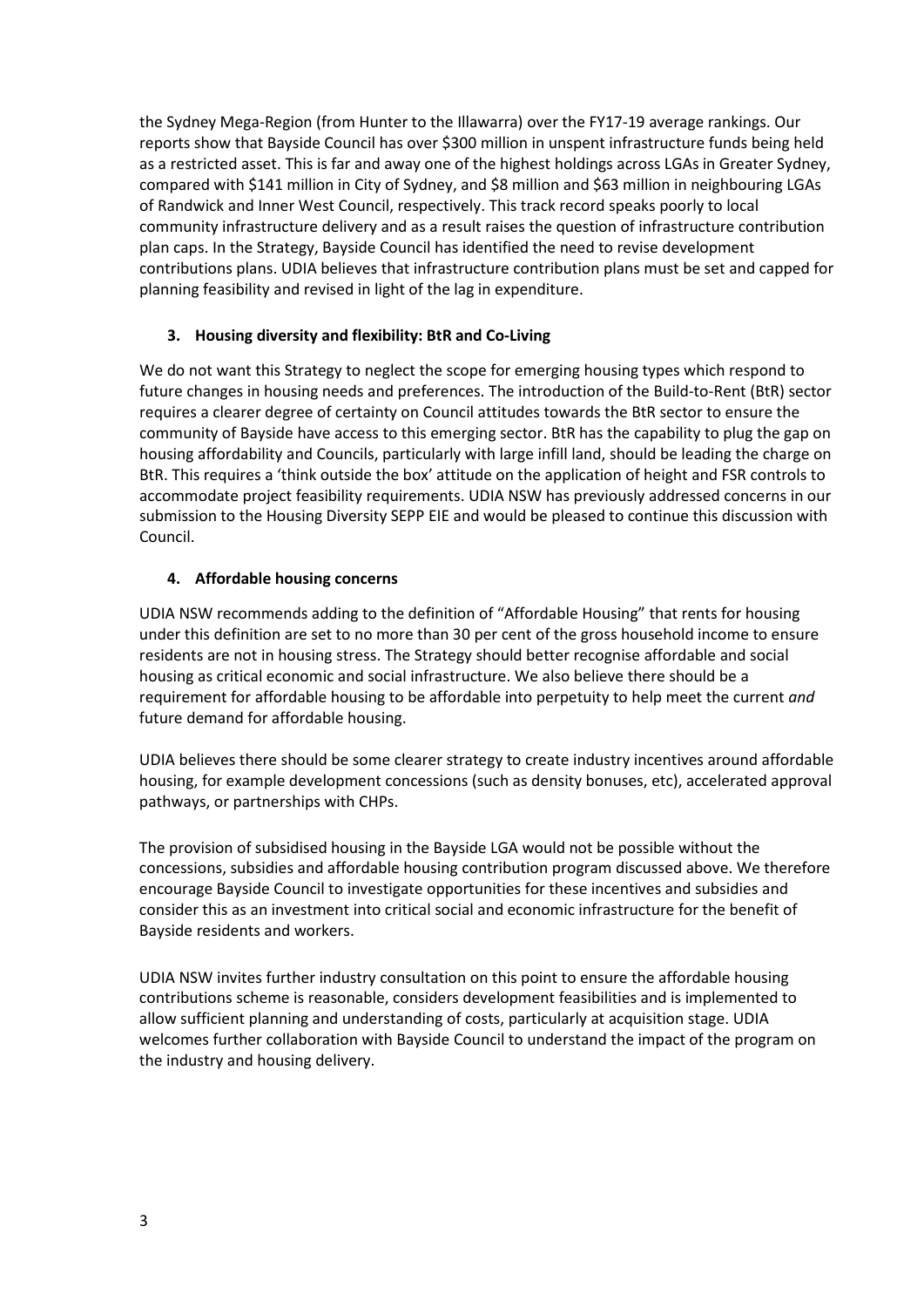the Sydney Mega-Region (from Hunter to the Illawarra) over the FY17-19 average rankings. Our reports show that Bayside Council has over \$300 million in unspent infrastructure funds being held as a restricted asset. This is far and away one of the highest holdings across LGAs in Greater Sydney, compared with \$141 million in City of Sydney, and \$8 million and \$63 million in neighbouring LGAs of Randwick and Inner West Council, respectively. This track record speaks poorly to local community infrastructure delivery and as a result raises the question of infrastructure contribution plan caps. In the Strategy, Bayside Council has identified the need to revise development contributions plans. UDIA believes that infrastructure contribution plans must be set and capped for planning feasibility and revised in light of the lag in expenditure.

## **3. Housing diversity and flexibility: BtR and Co-Living**

We do not want this Strategy to neglect the scope for emerging housing types which respond to future changes in housing needs and preferences. The introduction of the Build-to-Rent (BtR) sector requires a clearer degree of certainty on Council attitudes towards the BtR sector to ensure the community of Bayside have access to this emerging sector. BtR has the capability to plug the gap on housing affordability and Councils, particularly with large infill land, should be leading the charge on BtR. This requires a 'think outside the box' attitude on the application of height and FSR controls to accommodate project feasibility requirements. UDIA NSW has previously addressed concerns in our submission to the Housing Diversity SEPP EIE and would be pleased to continue this discussion with Council.

# **4. Affordable housing concerns**

UDIA NSW recommends adding to the definition of "Affordable Housing" that rents for housing under this definition are set to no more than 30 per cent of the gross household income to ensure residents are not in housing stress. The Strategy should better recognise affordable and social housing as critical economic and social infrastructure. We also believe there should be a requirement for affordable housing to be affordable into perpetuity to help meet the current *and*  future demand for affordable housing.

UDIA believes there should be some clearer strategy to create industry incentives around affordable housing, for example development concessions (such as density bonuses, etc), accelerated approval pathways, or partnerships with CHPs.

The provision of subsidised housing in the Bayside LGA would not be possible without the concessions, subsidies and affordable housing contribution program discussed above. We therefore encourage Bayside Council to investigate opportunities for these incentives and subsidies and consider this as an investment into critical social and economic infrastructure for the benefit of Bayside residents and workers.

UDIA NSW invites further industry consultation on this point to ensure the affordable housing contributions scheme is reasonable, considers development feasibilities and is implemented to allow sufficient planning and understanding of costs, particularly at acquisition stage. UDIA welcomes further collaboration with Bayside Council to understand the impact of the program on the industry and housing delivery.